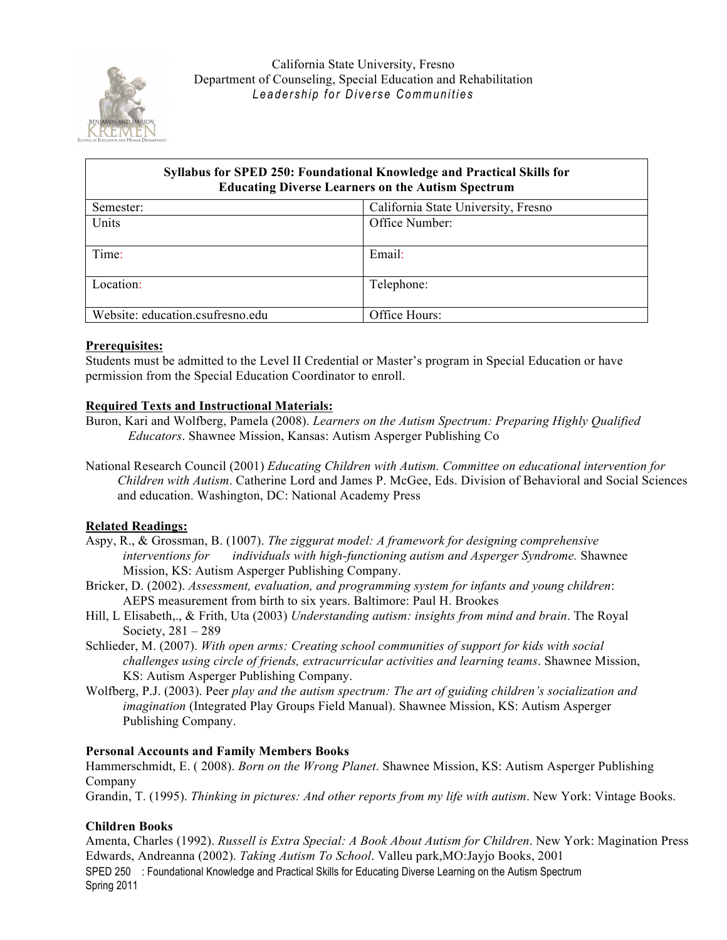

# **Syllabus for SPED 250: Foundational Knowledge and Practical Skills for Educating Diverse Learners on the Autism Spectrum**  Semester: California State University, Fresno Units **Units Office Number:** Time: Email: Location:  $\vert$  Telephone: Website: education.csufresno.edu | Office Hours:

## **Prerequisites:**

Students must be admitted to the Level II Credential or Master's program in Special Education or have permission from the Special Education Coordinator to enroll.

### **Required Texts and Instructional Materials:**

- Buron, Kari and Wolfberg, Pamela (2008). *Learners on the Autism Spectrum: Preparing Highly Qualified Educators*. Shawnee Mission, Kansas: Autism Asperger Publishing Co
- National Research Council (2001) *Educating Children with Autism. Committee on educational intervention for Children with Autism*. Catherine Lord and James P. McGee, Eds. Division of Behavioral and Social Sciences and education. Washington, DC: National Academy Press

### **Related Readings:**

- Aspy, R., & Grossman, B. (1007). *The ziggurat model: A framework for designing comprehensive interventions for individuals with high-functioning autism and Asperger Syndrome.* Shawnee Mission, KS: Autism Asperger Publishing Company.
- Bricker, D. (2002). *Assessment, evaluation, and programming system for infants and young children*: AEPS measurement from birth to six years. Baltimore: Paul H. Brookes
- Hill, L Elisabeth,., & Frith, Uta (2003) *Understanding autism: insights from mind and brain*. The Royal Society, 281 – 289
- Schlieder, M. (2007). *With open arms: Creating school communities of support for kids with social challenges using circle of friends, extracurricular activities and learning teams*. Shawnee Mission, KS: Autism Asperger Publishing Company.
- Wolfberg, P.J. (2003). Peer *play and the autism spectrum: The art of guiding children's socialization and imagination* (Integrated Play Groups Field Manual). Shawnee Mission, KS: Autism Asperger Publishing Company.

### **Personal Accounts and Family Members Books**

Hammerschmidt, E. ( 2008). *Born on the Wrong Planet*. Shawnee Mission, KS: Autism Asperger Publishing Company

Grandin, T. (1995). *Thinking in pictures: And other reports from my life with autism*. New York: Vintage Books.

## **Children Books**

SPED 250 : Foundational Knowledge and Practical Skills for Educating Diverse Learning on the Autism Spectrum Spring 2011 Amenta, Charles (1992). *Russell is Extra Special: A Book About Autism for Children*. New York: Magination Press Edwards, Andreanna (2002). *Taking Autism To School*. Valleu park,MO:Jayjo Books, 2001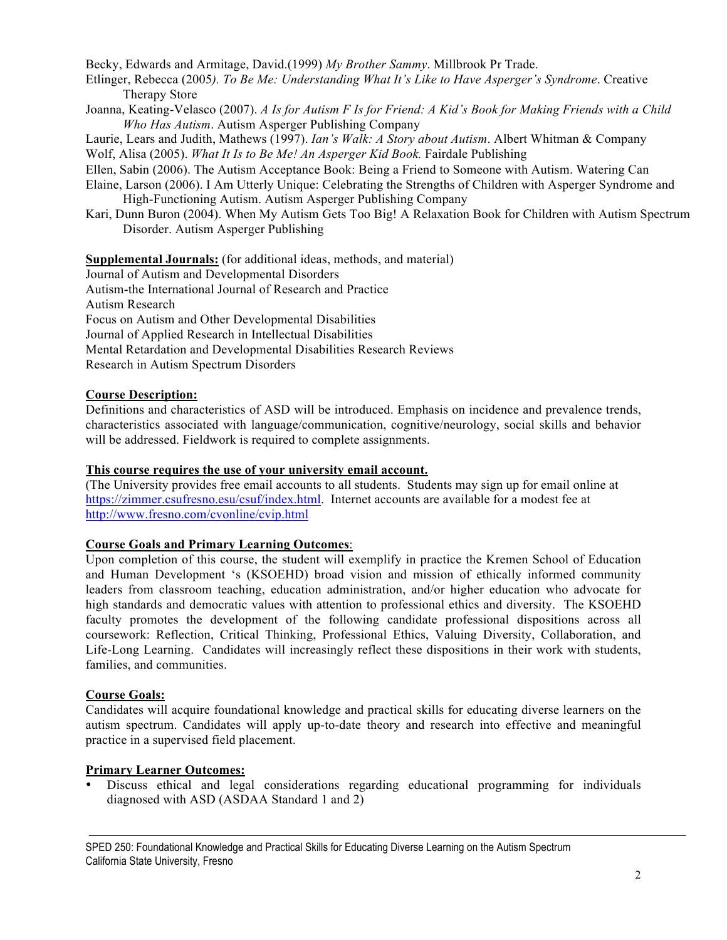Becky, Edwards and Armitage, David.(1999) *My Brother Sammy*. Millbrook Pr Trade.

- Etlinger, Rebecca (2005*). To Be Me: Understanding What It's Like to Have Asperger's Syndrome*. Creative Therapy Store
- Joanna, Keating-Velasco (2007). *A Is for Autism F Is for Friend: A Kid's Book for Making Friends with a Child Who Has Autism*. Autism Asperger Publishing Company

Laurie, Lears and Judith, Mathews (1997). *Ian's Walk: A Story about Autism*. Albert Whitman & Company Wolf, Alisa (2005). *What It Is to Be Me! An Asperger Kid Book.* Fairdale Publishing

Ellen, Sabin (2006). The Autism Acceptance Book: Being a Friend to Someone with Autism. Watering Can

- Elaine, Larson (2006). I Am Utterly Unique: Celebrating the Strengths of Children with Asperger Syndrome and High-Functioning Autism. Autism Asperger Publishing Company
- Kari, Dunn Buron (2004). When My Autism Gets Too Big! A Relaxation Book for Children with Autism Spectrum Disorder. Autism Asperger Publishing

**Supplemental Journals:** (for additional ideas, methods, and material) Journal of Autism and Developmental Disorders Autism-the International Journal of Research and Practice Autism Research Focus on Autism and Other Developmental Disabilities Journal of Applied Research in Intellectual Disabilities Mental Retardation and Developmental Disabilities Research Reviews Research in Autism Spectrum Disorders

## **Course Description:**

Definitions and characteristics of ASD will be introduced. Emphasis on incidence and prevalence trends, characteristics associated with language/communication, cognitive/neurology, social skills and behavior will be addressed. Fieldwork is required to complete assignments.

# **This course requires the use of your university email account.**

(The University provides free email accounts to all students. Students may sign up for email online at https://zimmer.csufresno.esu/csuf/index.html. Internet accounts are available for a modest fee at http://www.fresno.com/cvonline/cvip.html

## **Course Goals and Primary Learning Outcomes**:

Upon completion of this course, the student will exemplify in practice the Kremen School of Education and Human Development 's (KSOEHD) broad vision and mission of ethically informed community leaders from classroom teaching, education administration, and/or higher education who advocate for high standards and democratic values with attention to professional ethics and diversity. The KSOEHD faculty promotes the development of the following candidate professional dispositions across all coursework: Reflection, Critical Thinking, Professional Ethics, Valuing Diversity, Collaboration, and Life-Long Learning. Candidates will increasingly reflect these dispositions in their work with students, families, and communities.

## **Course Goals:**

Candidates will acquire foundational knowledge and practical skills for educating diverse learners on the autism spectrum. Candidates will apply up-to-date theory and research into effective and meaningful practice in a supervised field placement.

# **Primary Learner Outcomes:**

• Discuss ethical and legal considerations regarding educational programming for individuals diagnosed with ASD (ASDAA Standard 1 and 2)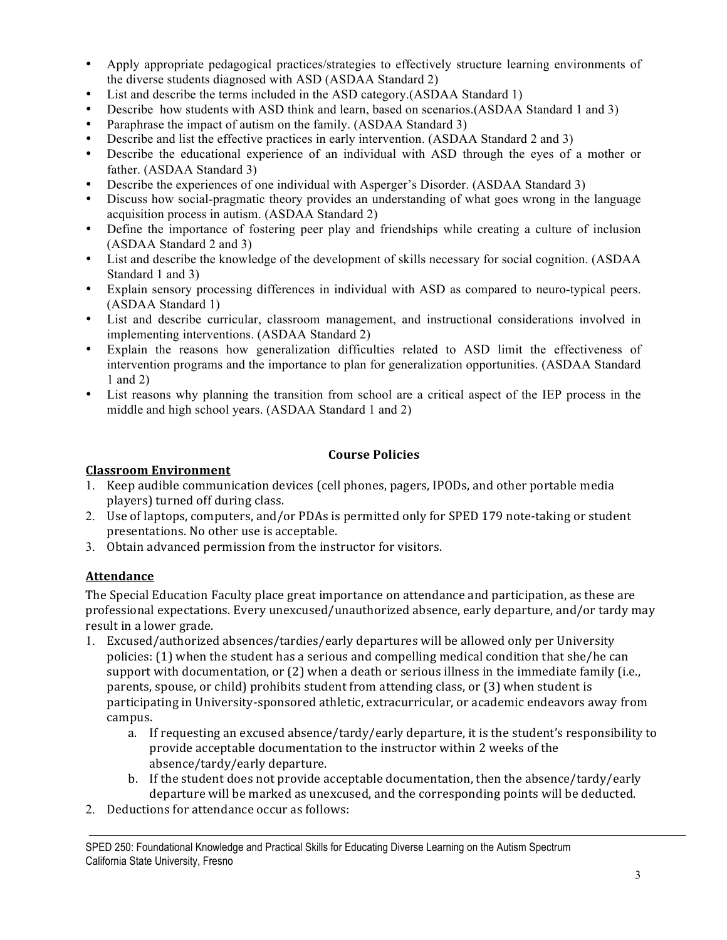- Apply appropriate pedagogical practices/strategies to effectively structure learning environments of the diverse students diagnosed with ASD (ASDAA Standard 2)
- List and describe the terms included in the ASD category.(ASDAA Standard 1)
- Describe how students with ASD think and learn, based on scenarios.(ASDAA Standard 1 and 3)
- Paraphrase the impact of autism on the family. (ASDAA Standard 3)
- Describe and list the effective practices in early intervention. (ASDAA Standard 2 and 3)
- Describe the educational experience of an individual with ASD through the eyes of a mother or father. (ASDAA Standard 3)
- Describe the experiences of one individual with Asperger's Disorder. (ASDAA Standard 3)
- Discuss how social-pragmatic theory provides an understanding of what goes wrong in the language acquisition process in autism. (ASDAA Standard 2)
- Define the importance of fostering peer play and friendships while creating a culture of inclusion (ASDAA Standard 2 and 3)
- List and describe the knowledge of the development of skills necessary for social cognition. (ASDAA Standard 1 and 3)
- Explain sensory processing differences in individual with ASD as compared to neuro-typical peers. (ASDAA Standard 1)
- List and describe curricular, classroom management, and instructional considerations involved in implementing interventions. (ASDAA Standard 2)
- Explain the reasons how generalization difficulties related to ASD limit the effectiveness of intervention programs and the importance to plan for generalization opportunities. (ASDAA Standard 1 and 2)
- List reasons why planning the transition from school are a critical aspect of the IEP process in the middle and high school years. (ASDAA Standard 1 and 2)

## **Course'Policies**

## **Classroom'Environment**

- 1. Keep audible communication devices (cell phones, pagers, IPODs, and other portable media players) turned off during class.
- 2. Use of laptops, computers, and/or PDAs is permitted only for SPED 179 note-taking or student presentations. No other use is acceptable.
- 3. Obtain advanced permission from the instructor for visitors.

# **Attendance'**

The Special Education Faculty place great importance on attendance and participation, as these are professional expectations. Every unexcused/unauthorized absence, early departure, and/or tardy may result in a lower grade.

- 1. Excused/authorized absences/tardies/early departures will be allowed only per University policies:  $(1)$  when the student has a serious and compelling medical condition that she/he can support with documentation, or  $(2)$  when a death or serious illness in the immediate family (i.e., parents, spouse, or child) prohibits student from attending class, or (3) when student is participating in University-sponsored athletic, extracurricular, or academic endeavors away from campus.
	- a. If requesting an excused absence/tardy/early departure, it is the student's responsibility to provide acceptable documentation to the instructor within 2 weeks of the absence/tardy/early departure.
	- b. If the student does not provide acceptable documentation, then the absence/tardy/early departure will be marked as unexcused, and the corresponding points will be deducted.
- 2. Deductions for attendance occur as follows: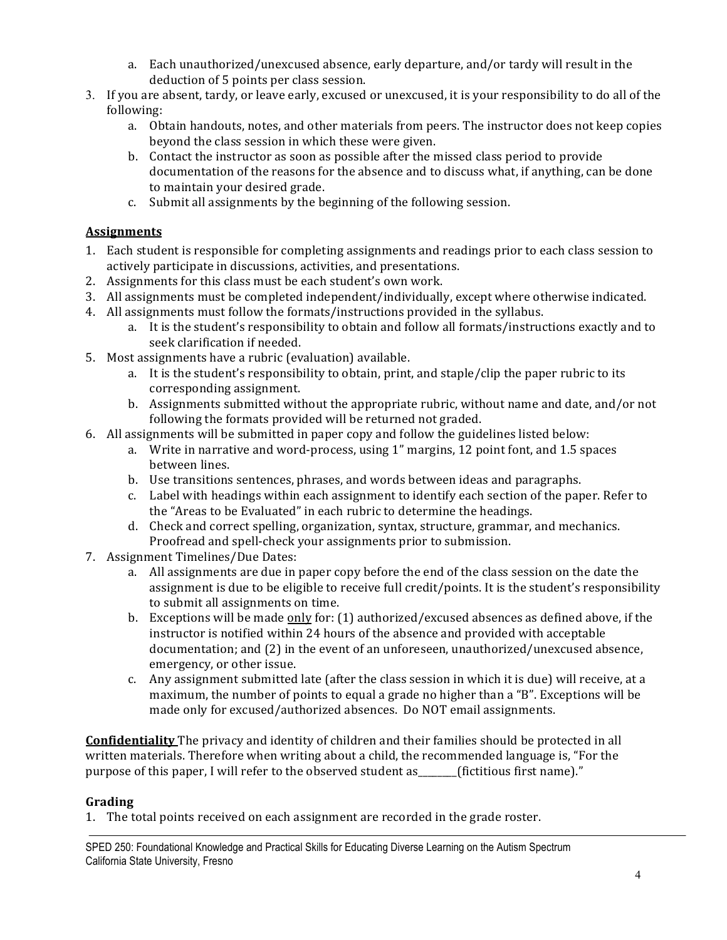- a. Each unauthorized/unexcused absence, early departure, and/or tardy will result in the deduction of 5 points per class session.
- 3. If you are absent, tardy, or leave early, excused or unexcused, it is your responsibility to do all of the following:
	- a. Obtain handouts, notes, and other materials from peers. The instructor does not keep copies beyond the class session in which these were given.
	- b. Contact the instructor as soon as possible after the missed class period to provide documentation of the reasons for the absence and to discuss what, if anything, can be done to maintain your desired grade.
	- c. Submit all assignments by the beginning of the following session.

# **Assignments**

- 1. Each student is responsible for completing assignments and readings prior to each class session to actively participate in discussions, activities, and presentations.
- 2. Assignments for this class must be each student's own work.
- 3. All assignments must be completed independent/individually, except where otherwise indicated.
- 4. All assignments must follow the formats/instructions provided in the syllabus.
	- a. It is the student's responsibility to obtain and follow all formats/instructions exactly and to seek clarification if needed.
- 5. Most assignments have a rubric (evaluation) available.
	- a. It is the student's responsibility to obtain, print, and staple/clip the paper rubric to its corresponding assignment.
	- b. Assignments submitted without the appropriate rubric, without name and date, and/or not following the formats provided will be returned not graded.
- 6. All assignments will be submitted in paper copy and follow the guidelines listed below:
	- a. Write in narrative and word-process, using 1" margins, 12 point font, and 1.5 spaces between lines.
	- b. Use transitions sentences, phrases, and words between ideas and paragraphs.
	- c. Label with headings within each assignment to identify each section of the paper. Refer to the "Areas to be Evaluated" in each rubric to determine the headings.
	- d. Check and correct spelling, organization, syntax, structure, grammar, and mechanics. Proofread and spell-check your assignments prior to submission.
- 7. Assignment Timelines/Due Dates:
	- a. All assignments are due in paper copy before the end of the class session on the date the assignment is due to be eligible to receive full credit/points. It is the student's responsibility to submit all assignments on time.
	- b. Exceptions will be made only for:  $(1)$  authorized/excused absences as defined above, if the instructor is notified within 24 hours of the absence and provided with acceptable documentation; and  $(2)$  in the event of an unforeseen, unauthorized/unexcused absence, emergency, or other issue.
	- c. Any assignment submitted late (after the class session in which it is due) will receive, at a maximum, the number of points to equal a grade no higher than a "B". Exceptions will be made only for excused/authorized absences. Do NOT email assignments.

**Confidentiality** The privacy and identity of children and their families should be protected in all written materials. Therefore when writing about a child, the recommended language is, "For the purpose of this paper, I will refer to the observed student as\_\_\_\_\_\_(fictitious first name)."

# **Grading**

1. The total points received on each assignment are recorded in the grade roster.

SPED 250: Foundational Knowledge and Practical Skills for Educating Diverse Learning on the Autism Spectrum California State University, Fresno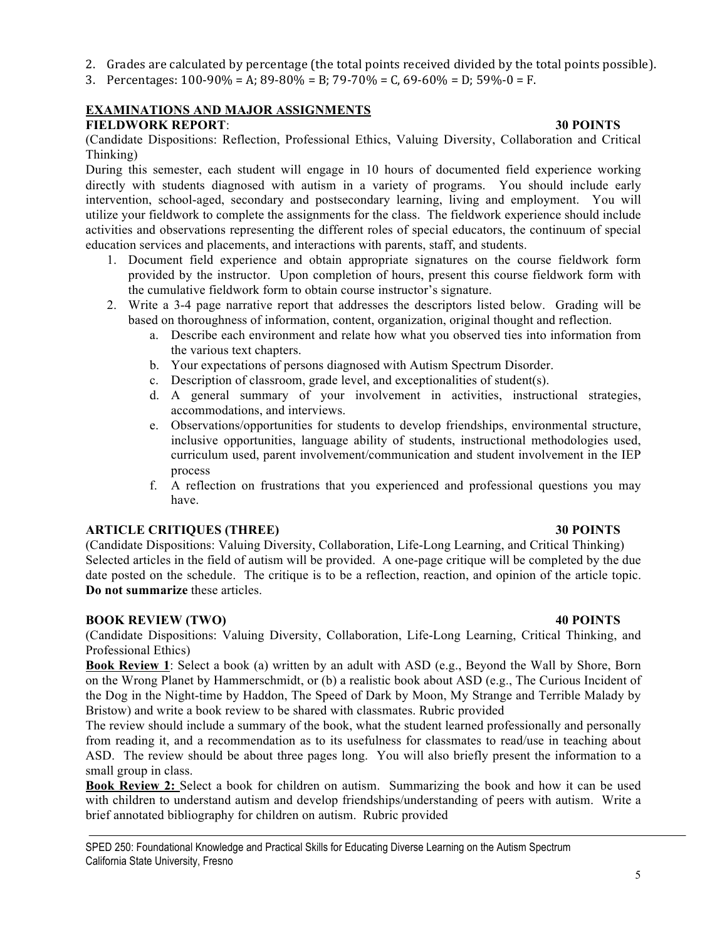- 2. Grades are calculated by percentage (the total points received divided by the total points possible).
- 3. Percentages:  $100-90\% = A$ ;  $89-80\% = B$ ;  $79-70\% = C$ ,  $69-60\% = D$ ;  $59\% 0 = F$ .

# **EXAMINATIONS AND MAJOR ASSIGNMENTS**

# **FIELDWORK REPORT**: **30 POINTS**

(Candidate Dispositions: Reflection, Professional Ethics, Valuing Diversity, Collaboration and Critical Thinking)

During this semester, each student will engage in 10 hours of documented field experience working directly with students diagnosed with autism in a variety of programs. You should include early intervention, school-aged, secondary and postsecondary learning, living and employment. You will utilize your fieldwork to complete the assignments for the class. The fieldwork experience should include activities and observations representing the different roles of special educators, the continuum of special education services and placements, and interactions with parents, staff, and students.

- 1. Document field experience and obtain appropriate signatures on the course fieldwork form provided by the instructor. Upon completion of hours, present this course fieldwork form with the cumulative fieldwork form to obtain course instructor's signature.
- 2. Write a 3-4 page narrative report that addresses the descriptors listed below. Grading will be based on thoroughness of information, content, organization, original thought and reflection.
	- a. Describe each environment and relate how what you observed ties into information from the various text chapters.
	- b. Your expectations of persons diagnosed with Autism Spectrum Disorder.
	- c. Description of classroom, grade level, and exceptionalities of student(s).
	- d. A general summary of your involvement in activities, instructional strategies, accommodations, and interviews.
	- e. Observations/opportunities for students to develop friendships, environmental structure, inclusive opportunities, language ability of students, instructional methodologies used, curriculum used, parent involvement/communication and student involvement in the IEP process
	- f. A reflection on frustrations that you experienced and professional questions you may have.

## **ARTICLE CRITIQUES (THREE) 30 POINTS**

(Candidate Dispositions: Valuing Diversity, Collaboration, Life-Long Learning, and Critical Thinking) Selected articles in the field of autism will be provided. A one-page critique will be completed by the due date posted on the schedule. The critique is to be a reflection, reaction, and opinion of the article topic. **Do not summarize** these articles.

## **BOOK REVIEW (TWO) 40 POINTS**

(Candidate Dispositions: Valuing Diversity, Collaboration, Life-Long Learning, Critical Thinking, and Professional Ethics)

**Book Review 1**: Select a book (a) written by an adult with ASD (e.g., Beyond the Wall by Shore, Born on the Wrong Planet by Hammerschmidt, or (b) a realistic book about ASD (e.g., The Curious Incident of the Dog in the Night-time by Haddon, The Speed of Dark by Moon, My Strange and Terrible Malady by Bristow) and write a book review to be shared with classmates. Rubric provided

The review should include a summary of the book, what the student learned professionally and personally from reading it, and a recommendation as to its usefulness for classmates to read/use in teaching about ASD. The review should be about three pages long. You will also briefly present the information to a small group in class.

**Book Review 2:** Select a book for children on autism. Summarizing the book and how it can be used with children to understand autism and develop friendships/understanding of peers with autism. Write a brief annotated bibliography for children on autism. Rubric provided

5

SPED 250: Foundational Knowledge and Practical Skills for Educating Diverse Learning on the Autism Spectrum California State University, Fresno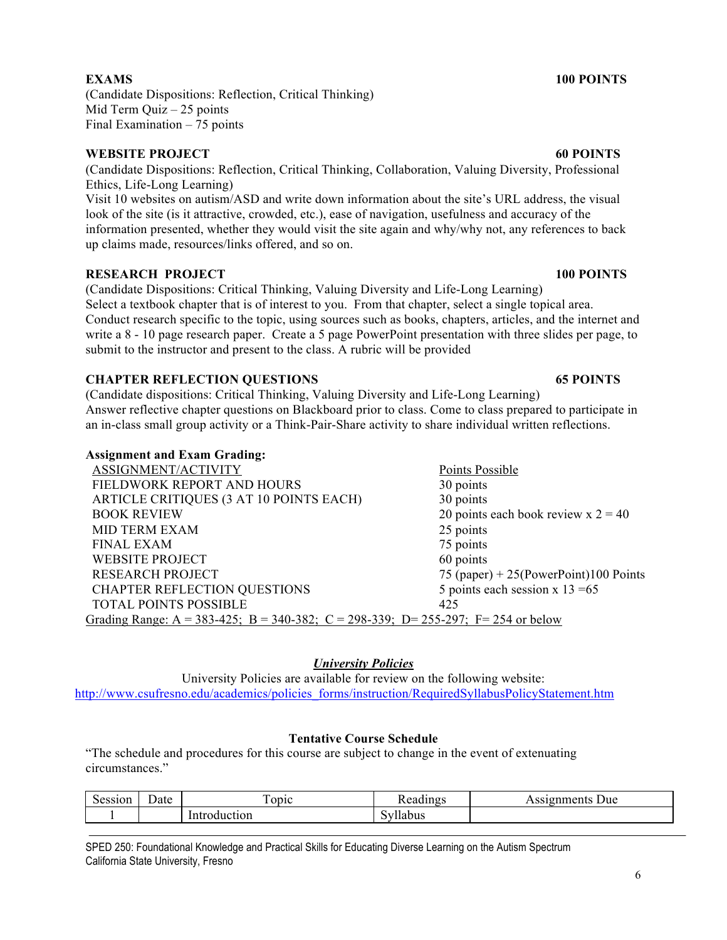(Candidate Dispositions: Reflection, Critical Thinking) Mid Term Quiz – 25 points Final Examination – 75 points

### **WEBSITE PROJECT 60 POINTS**

(Candidate Dispositions: Reflection, Critical Thinking, Collaboration, Valuing Diversity, Professional Ethics, Life-Long Learning)

Visit 10 websites on autism/ASD and write down information about the site's URL address, the visual look of the site (is it attractive, crowded, etc.), ease of navigation, usefulness and accuracy of the information presented, whether they would visit the site again and why/why not, any references to back up claims made, resources/links offered, and so on.

### **RESEARCH PROJECT 100 POINTS**

(Candidate Dispositions: Critical Thinking, Valuing Diversity and Life-Long Learning) Select a textbook chapter that is of interest to you. From that chapter, select a single topical area. Conduct research specific to the topic, using sources such as books, chapters, articles, and the internet and write a 8 - 10 page research paper. Create a 5 page PowerPoint presentation with three slides per page, to submit to the instructor and present to the class. A rubric will be provided

### **CHAPTER REFLECTION QUESTIONS 65 POINTS**

(Candidate dispositions: Critical Thinking, Valuing Diversity and Life-Long Learning) Answer reflective chapter questions on Blackboard prior to class. Come to class prepared to participate in an in-class small group activity or a Think-Pair-Share activity to share individual written reflections.

### **Assignment and Exam Grading:**

| ASSIGNMENT/ACTIVITY                                                               | Points Possible                          |
|-----------------------------------------------------------------------------------|------------------------------------------|
| FIELDWORK REPORT AND HOURS                                                        | 30 points                                |
| ARTICLE CRITIQUES (3 AT 10 POINTS EACH)                                           | 30 points                                |
| <b>BOOK REVIEW</b>                                                                | 20 points each book review $x = 2 = 40$  |
| <b>MID TERM EXAM</b>                                                              | 25 points                                |
| <b>FINAL EXAM</b>                                                                 | 75 points                                |
| <b>WEBSITE PROJECT</b>                                                            | 60 points                                |
| <b>RESEARCH PROJECT</b>                                                           | 75 (paper) + $25$ (PowerPoint)100 Points |
| <b>CHAPTER REFLECTION QUESTIONS</b>                                               | 5 points each session $x$ 13 = 65        |
| <b>TOTAL POINTS POSSIBLE</b>                                                      | 425                                      |
| Grading Range: A = 383-425; B = 340-382; C = 298-339; D= 255-297; F= 254 or below |                                          |

### *University Policies*

University Policies are available for review on the following website: http://www.csufresno.edu/academics/policies\_forms/instruction/RequiredSyllabusPolicyStatement.htm

### **Tentative Course Schedule**

"The schedule and procedures for this course are subject to change in the event of extenuating circumstances."

| -<br>Session | Date | $\mathbf{r}$<br><b>ODIC</b> | 11ngs<br>ഛ<br>.dun   | Due.<br>$\alpha + \alpha$ |
|--------------|------|-----------------------------|----------------------|---------------------------|
|              |      | oduction                    | 'ous<br>$\mathbf{v}$ |                           |

SPED 250: Foundational Knowledge and Practical Skills for Educating Diverse Learning on the Autism Spectrum California State University, Fresno

# **EXAMS 100 POINTS**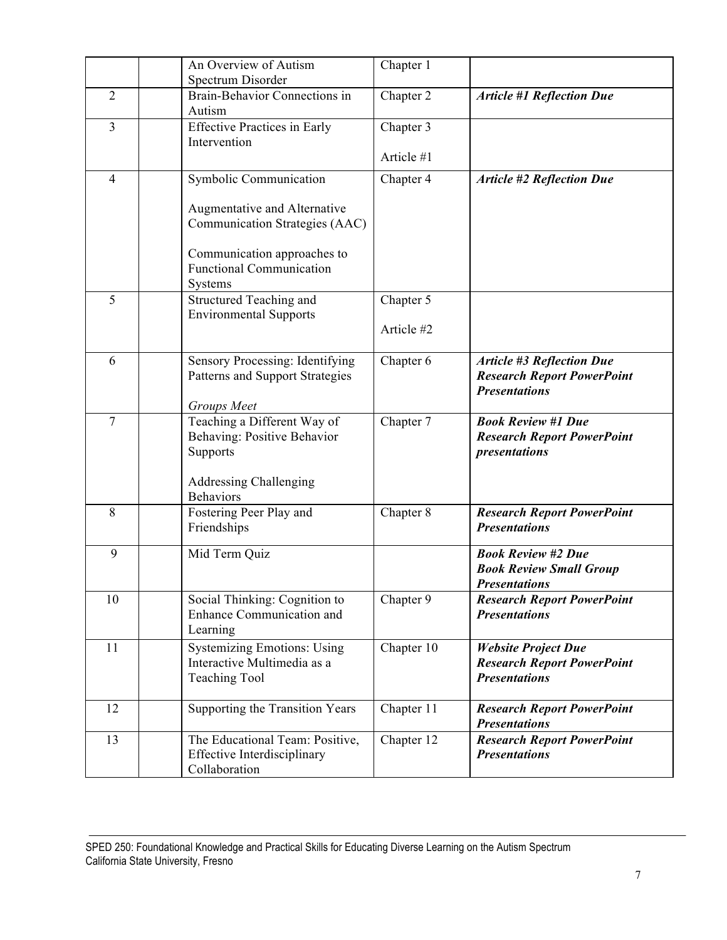|                | An Overview of Autism<br>Spectrum Disorder                                                                                  | Chapter 1  |                                                                                               |
|----------------|-----------------------------------------------------------------------------------------------------------------------------|------------|-----------------------------------------------------------------------------------------------|
| $\overline{2}$ | Brain-Behavior Connections in<br>Autism                                                                                     | Chapter 2  | <b>Article #1 Reflection Due</b>                                                              |
| $\overline{3}$ | <b>Effective Practices in Early</b><br>Intervention                                                                         | Chapter 3  |                                                                                               |
|                |                                                                                                                             | Article #1 |                                                                                               |
| $\overline{4}$ | Symbolic Communication                                                                                                      | Chapter 4  | <b>Article #2 Reflection Due</b>                                                              |
|                | Augmentative and Alternative<br>Communication Strategies (AAC)                                                              |            |                                                                                               |
|                | Communication approaches to<br><b>Functional Communication</b><br>Systems                                                   |            |                                                                                               |
| 5              | Structured Teaching and<br><b>Environmental Supports</b>                                                                    | Chapter 5  |                                                                                               |
|                |                                                                                                                             | Article #2 |                                                                                               |
| 6              | Sensory Processing: Identifying<br>Patterns and Support Strategies<br>Groups Meet                                           | Chapter 6  | <b>Article #3 Reflection Due</b><br><b>Research Report PowerPoint</b><br><b>Presentations</b> |
| $\overline{7}$ | Teaching a Different Way of<br>Behaving: Positive Behavior<br>Supports<br><b>Addressing Challenging</b><br><b>Behaviors</b> | Chapter 7  | <b>Book Review #1 Due</b><br><b>Research Report PowerPoint</b><br>presentations               |
| 8              | Fostering Peer Play and<br>Friendships                                                                                      | Chapter 8  | <b>Research Report PowerPoint</b><br><b>Presentations</b>                                     |
| 9              | Mid Term Quiz                                                                                                               |            | <b>Book Review #2 Due</b><br><b>Book Review Small Group</b><br><b>Presentations</b>           |
| 10             | Social Thinking: Cognition to<br>Enhance Communication and<br>Learning                                                      | Chapter 9  | <b>Research Report PowerPoint</b><br><b>Presentations</b>                                     |
| 11             | <b>Systemizing Emotions: Using</b><br>Interactive Multimedia as a<br><b>Teaching Tool</b>                                   | Chapter 10 | <b>Website Project Due</b><br><b>Research Report PowerPoint</b><br><b>Presentations</b>       |
| 12             | Supporting the Transition Years                                                                                             | Chapter 11 | <b>Research Report PowerPoint</b><br><b>Presentations</b>                                     |
| 13             | The Educational Team: Positive,<br><b>Effective Interdisciplinary</b><br>Collaboration                                      | Chapter 12 | <b>Research Report PowerPoint</b><br><b>Presentations</b>                                     |